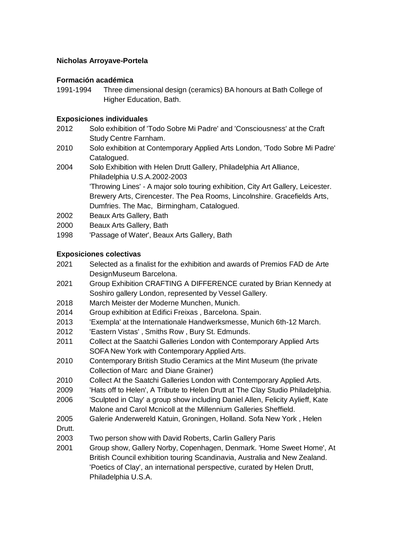# **Nicholas Arroyave-Portela**

# **Formación académica**

1991-1994 Three dimensional design (ceramics) BA honours at Bath College of Higher Education, Bath.

## **Exposiciones individuales**

- 2012 Solo exhibition of 'Todo Sobre Mi Padre' and 'Consciousness' at the Craft Study Centre Farnham.
- 2010 Solo exhibition at Contemporary Applied Arts London, 'Todo Sobre Mi Padre' Catalogued.
- 2004 Solo Exhibition with Helen Drutt Gallery, Philadelphia Art Alliance, Philadelphia U.S.A.2002-2003 'Throwing Lines' - A major solo touring exhibition, City Art Gallery, Leicester. Brewery Arts, Cirencester. The Pea Rooms, Lincolnshire. Gracefields Arts, Dumfries. The Mac, Birmingham, Catalogued.
- 2002 Beaux Arts Gallery, Bath
- 2000 Beaux Arts Gallery, Bath
- 1998 'Passage of Water', Beaux Arts Gallery, Bath

### **Exposiciones colectivas**

- 2021 Selected as a finalist for the exhibition and awards of Premios FAD de Arte DesignMuseum Barcelona.
- 2021 Group Exhibition CRAFTING A DIFFERENCE curated by Brian Kennedy at Soshiro gallery London, represented by Vessel Gallery.
- 2018 March Meister der Moderne Munchen, Munich.
- 2014 Group exhibition at Edifici Freixas , Barcelona. Spain.
- 2013 'Exempla' at the Internationale Handwerksmesse, Munich 6th-12 March.
- 2012 'Eastern Vistas' , Smiths Row , Bury St. Edmunds.
- 2011 Collect at the Saatchi Galleries London with Contemporary Applied Arts SOFA New York with Contemporary Applied Arts.
- 2010 Contemporary British Studio Ceramics at the Mint Museum (the private Collection of Marc and Diane Grainer)
- 2010 Collect At the Saatchi Galleries London with Contemporary Applied Arts.
- 2009 'Hats off to Helen', A Tribute to Helen Drutt at The Clay Studio Philadelphia.
- 2006 'Sculpted in Clay' a group show including Daniel Allen, Felicity Aylieff, Kate Malone and Carol Mcnicoll at the Millennium Galleries Sheffield.
- 2005 Galerie Anderwereld Katuin, Groningen, Holland. Sofa New York , Helen
- Drutt.
- 2003 Two person show with David Roberts, Carlin Gallery Paris
- 2001 Group show, Gallery Norby, Copenhagen, Denmark. 'Home Sweet Home', At British Council exhibition touring Scandinavia, Australia and New Zealand. 'Poetics of Clay', an international perspective, curated by Helen Drutt, Philadelphia U.S.A.